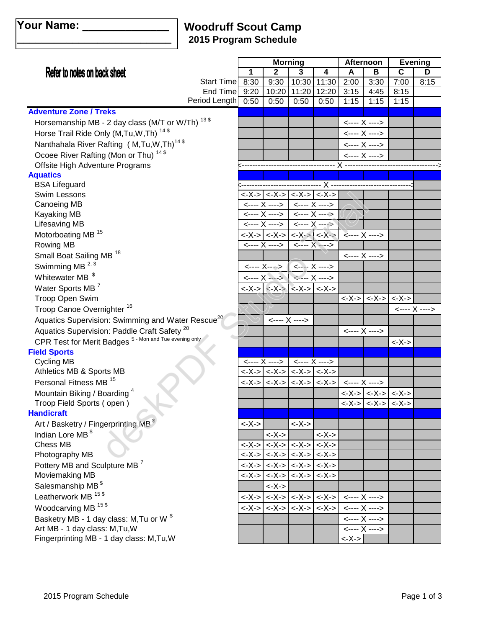## **Woodruff Scout Camp 2015 Program Schedule**

| <b>Your Name:</b>                                             | <b>Woodruff Scout Camp</b><br>2015 Program Schedule |                                 |                      |                                                                                                                                             |                      |                                 |                                                                                                |                                    |      |
|---------------------------------------------------------------|-----------------------------------------------------|---------------------------------|----------------------|---------------------------------------------------------------------------------------------------------------------------------------------|----------------------|---------------------------------|------------------------------------------------------------------------------------------------|------------------------------------|------|
|                                                               |                                                     | <b>Morning</b>                  |                      |                                                                                                                                             |                      |                                 | <b>Afternoon</b>                                                                               |                                    |      |
| Refer to notes on back sheet                                  |                                                     | 1                               | $\mathbf{2}$         | 3                                                                                                                                           | 4                    | A                               | В                                                                                              | <b>Evening</b><br>$\mathbf c$<br>D |      |
|                                                               | <b>Start Time</b>                                   | 8:30                            | 9:30                 | 10:30                                                                                                                                       | 11:30                | 2:00                            | 3:30                                                                                           | 7:00                               | 8:15 |
|                                                               | End Time                                            | 9:20                            | 10:20                | 11:20                                                                                                                                       | 12:20                | 3:15                            | 4:45                                                                                           | 8:15                               |      |
|                                                               | Period Length                                       | 0:50                            | 0:50                 | 0:50                                                                                                                                        | 0:50                 | 1:15                            | 1:15                                                                                           | 1:15                               |      |
| <b>Adventure Zone / Treks</b>                                 |                                                     |                                 |                      |                                                                                                                                             |                      |                                 |                                                                                                |                                    |      |
| Horsemanship MB - 2 day class (M/T or W/Th) $^{13\,$          |                                                     |                                 |                      |                                                                                                                                             |                      |                                 | <---- X ---->                                                                                  |                                    |      |
| Horse Trail Ride Only (M, Tu, W, Th) 14\$                     |                                                     |                                 |                      |                                                                                                                                             |                      |                                 | <---- X ---->                                                                                  |                                    |      |
| Nanthahala River Rafting (M, Tu, W, Th) <sup>14\$</sup>       |                                                     |                                 |                      |                                                                                                                                             |                      |                                 | <---- X ---->                                                                                  |                                    |      |
| Ocoee River Rafting (Mon or Thu) 14\$                         |                                                     |                                 |                      |                                                                                                                                             |                      |                                 | <---- X ---->                                                                                  |                                    |      |
| Offsite High Adventure Programs                               |                                                     |                                 |                      |                                                                                                                                             |                      |                                 |                                                                                                |                                    |      |
| <b>Aquatics</b>                                               |                                                     |                                 |                      |                                                                                                                                             |                      |                                 |                                                                                                |                                    |      |
| <b>BSA Lifeguard</b>                                          |                                                     |                                 |                      |                                                                                                                                             |                      |                                 |                                                                                                |                                    |      |
| Swim Lessons                                                  |                                                     |                                 |                      |                                                                                                                                             |                      |                                 |                                                                                                |                                    |      |
| Canoeing MB                                                   |                                                     |                                 |                      | <---- X ---->   <---- X ---->                                                                                                               |                      |                                 |                                                                                                |                                    |      |
| Kayaking MB                                                   |                                                     |                                 |                      | $\leftarrow$ X > $\left  \right. <$ X                                                                                                       |                      |                                 |                                                                                                |                                    |      |
| <b>Lifesaving MB</b>                                          |                                                     |                                 |                      | <---- X ---->   <---- X ---->                                                                                                               |                      |                                 |                                                                                                |                                    |      |
| Motorboating MB <sup>15</sup>                                 |                                                     |                                 |                      | <-X-> <-X-> <-X-> <-X-> <-X->                                                                                                               |                      |                                 | <---- X ---->                                                                                  |                                    |      |
| Rowing MB                                                     |                                                     |                                 | <---- X ---->        |                                                                                                                                             | <---- X ---->        |                                 |                                                                                                |                                    |      |
| Small Boat Sailing MB <sup>18</sup>                           |                                                     |                                 |                      |                                                                                                                                             |                      |                                 | <---- X ---->                                                                                  |                                    |      |
| Swimming MB <sup>2, 3</sup>                                   |                                                     |                                 |                      | $\left\langle \cdots \right\rangle X \cdots \left\langle \cdots \right\rangle$ $\left\langle \cdots \right\rangle X \cdots$                 |                      |                                 |                                                                                                |                                    |      |
| Whitewater MB <sup>\$</sup>                                   |                                                     |                                 |                      | $\leftarrow$ X $\rightarrow$ $\leftarrow$ $\times$ X $\rightarrow$                                                                          |                      |                                 |                                                                                                |                                    |      |
| Water Sports MB <sup>7</sup>                                  |                                                     |                                 |                      | <-X-> <-X-> <-X-> <-X-> <-X->                                                                                                               |                      |                                 |                                                                                                |                                    |      |
| Troop Open Swim                                               |                                                     |                                 |                      |                                                                                                                                             |                      | $\left\langle -X-\right\rangle$ | $\left\langle -X-\right\rangle$                                                                | $\langle -X-\rangle$               |      |
| Troop Canoe Overnighter <sup>16</sup>                         |                                                     |                                 |                      |                                                                                                                                             |                      |                                 |                                                                                                | <---- X ---->                      |      |
| Aquatics Supervision: Swimming and Water Rescue <sup>20</sup> |                                                     |                                 |                      | <---- X ---->                                                                                                                               |                      |                                 |                                                                                                |                                    |      |
| Aquatics Supervision: Paddle Craft Safety <sup>20</sup>       |                                                     |                                 |                      |                                                                                                                                             |                      |                                 | <---- X ---->                                                                                  |                                    |      |
| CPR Test for Merit Badges 5 - Mon and Tue evening only        |                                                     |                                 |                      |                                                                                                                                             |                      |                                 |                                                                                                | <-X->                              |      |
| <b>Field Sports</b>                                           |                                                     |                                 | <---- X ---->        |                                                                                                                                             |                      |                                 |                                                                                                |                                    |      |
| <b>Cycling MB</b><br>Athletics MB & Sports MB                 |                                                     |                                 |                      | <---- X ---->                                                                                                                               |                      |                                 |                                                                                                |                                    |      |
| Personal Fitness MB <sup>15</sup>                             |                                                     |                                 |                      | <-X-> $ $ <-X-> $ $ <-X-> $ $ <-X-> $ $ <-X-> $ $                                                                                           |                      |                                 | <---- X ---->                                                                                  |                                    |      |
| Mountain Biking / Boarding 4                                  |                                                     |                                 |                      |                                                                                                                                             |                      |                                 | $\left  \langle -X \rangle \right  \langle -X \rangle$                                         | $\langle -X-\rangle$               |      |
| Troop Field Sports (open)                                     |                                                     |                                 |                      |                                                                                                                                             |                      |                                 | $\left  \langle -X \rangle > \right  \langle -X \rangle > \left  \langle -X \rangle > \right $ |                                    |      |
| <b>Handicraft</b>                                             |                                                     |                                 |                      |                                                                                                                                             |                      |                                 |                                                                                                |                                    |      |
| Art / Basketry / Fingerprinting MB <sup>\$</sup>              |                                                     | <-X->                           |                      | $\langle -X-\rangle$                                                                                                                        |                      |                                 |                                                                                                |                                    |      |
| Indian Lore MB <sup>\$</sup>                                  |                                                     |                                 | $<$ - $X$ - $>$      |                                                                                                                                             | $\langle$ -X->       |                                 |                                                                                                |                                    |      |
| Chess MB                                                      |                                                     | <-X->                           |                      | $\left  \langle -X \rangle \right  \langle -X \rangle$                                                                                      | $\langle -X-\rangle$ |                                 |                                                                                                |                                    |      |
| Photography MB                                                |                                                     | <-X->                           |                      | $\left  \langle -X \rangle \right  \langle -X \rangle$                                                                                      | $\langle -X-\rangle$ |                                 |                                                                                                |                                    |      |
| Pottery MB and Sculpture MB <sup>7</sup>                      |                                                     | <-X->                           |                      | $\left  \langle -X \rangle > \right  \langle -X \rangle > \left  \langle -X \rangle > \right $                                              |                      |                                 |                                                                                                |                                    |      |
| Moviemaking MB                                                |                                                     | $\left\langle -X-\right\rangle$ |                      | $\left  \langle -X \rangle > \right  \langle -X \rangle > \left  \langle -X \rangle > \right $                                              |                      |                                 |                                                                                                |                                    |      |
| Salesmanship MB <sup>\$</sup>                                 |                                                     |                                 | $\langle -X-\rangle$ |                                                                                                                                             |                      |                                 |                                                                                                |                                    |      |
| Leatherwork MB <sup>15\$</sup>                                |                                                     | <-X->                           |                      | $\left  \langle -X \rangle - \rangle \right  \langle -X \rangle - \rangle$ $\left  \langle -X \rangle - \rangle \right  \langle -X \rangle$ |                      |                                 |                                                                                                |                                    |      |
| Woodcarving MB <sup>15\$</sup>                                |                                                     | $\left\langle -X-\right\rangle$ |                      | $\left  \langle -X - X \rangle \right  \langle -X - X \rangle$                                                                              |                      |                                 | <---- X ---->                                                                                  |                                    |      |
| Basketry MB - 1 day class: M, Tu or W \$                      |                                                     |                                 |                      |                                                                                                                                             |                      |                                 | <---- X ---->                                                                                  |                                    |      |
| Art MB - 1 day class: M, Tu, W                                |                                                     |                                 |                      |                                                                                                                                             |                      |                                 | <---- X ---->                                                                                  |                                    |      |
| Fingerprinting MB - 1 day class: M, Tu, W                     |                                                     |                                 |                      |                                                                                                                                             |                      | <-X->                           |                                                                                                |                                    |      |
|                                                               |                                                     |                                 |                      |                                                                                                                                             |                      |                                 |                                                                                                |                                    |      |
| 2015 Program Schedule                                         |                                                     |                                 |                      |                                                                                                                                             |                      |                                 |                                                                                                | Page 1 of 3                        |      |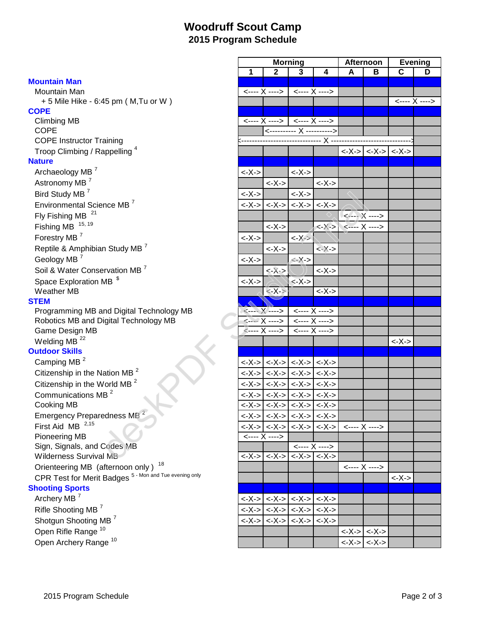## **Woodruff Scout Camp 2015 Program Schedule**

| Mountain Man |  |
|--------------|--|
|              |  |

Mountain Man

## + 5 Mile Hike - 6:45 pm ( M,Tu or W )

#### **COPE** Climbing MB

COPE COPE Instructor Training Troop Climbing / Rappelling  $4$ 

#### **Nature**

Archaeology MB<sup>7</sup> Astronomy MB<sup>7</sup> Bird Study MB<sup>7</sup> Environmental Science MB<sup>7</sup> Fly Fishing MB<sup>21</sup> Fishing MB $15, 19$ Forestry MB<sup>7</sup> Reptile & Amphibian Study MB <sup>7</sup> Geology MB<sup>7</sup> Soil & Water Conservation MB<sup>7</sup>

Space Exploration MB  $$^{\$}$ 

#### Weather MB

#### **STEM**

Programming MB and Digital Technology MB Robotics MB and Digital Technology MB Game Design MB Welding MB<sup>22</sup>

### **Outdoor Skills**

Camping MB<sup>2</sup> Citizenship in the Nation MB<sup>2</sup> Citizenship in the World MB<sup>2</sup> Communications MB <sup>2</sup> Cooking MB Emergency Preparedness MB <sup>2</sup> First Aid MB  $^{2,15}$ Pioneering MB Sign, Signals, and Codes MB Wilderness Survival MB Orienteering MB (afternoon only )<sup>18</sup> CPR Test for Merit Badges 5 - Mon and Tue evening only

#### **Shooting Sports**

Archery MB<sup>7</sup> Rifle Shooting MB<sup>7</sup> Shotgun Shooting MB $<sup>7</sup>$ </sup> Open Rifle Range<sup>10</sup> Open Archery Range<sup>10</sup>

|                                                       |                                 |                                                                                                                                                                                                                                                                                                                                                                                                                                                                                                  | <b>Morning</b>                                                                                 |                                 |                                 | Afternoon                                                                              |                      | <b>Evening</b> |
|-------------------------------------------------------|---------------------------------|--------------------------------------------------------------------------------------------------------------------------------------------------------------------------------------------------------------------------------------------------------------------------------------------------------------------------------------------------------------------------------------------------------------------------------------------------------------------------------------------------|------------------------------------------------------------------------------------------------|---------------------------------|---------------------------------|----------------------------------------------------------------------------------------|----------------------|----------------|
|                                                       | $\mathbf 1$                     | $\mathbf{2}$                                                                                                                                                                                                                                                                                                                                                                                                                                                                                     | 3                                                                                              | 4                               | A                               | В                                                                                      | C                    | D              |
| <b>ntain Man</b>                                      |                                 |                                                                                                                                                                                                                                                                                                                                                                                                                                                                                                  |                                                                                                |                                 |                                 |                                                                                        |                      |                |
| buntain Man                                           |                                 | $\leftarrow$ $\leftarrow$ $\leftarrow$ $\leftarrow$ $\leftarrow$ $\leftarrow$ $\leftarrow$ $\leftarrow$ $\leftarrow$ $\leftarrow$ $\leftarrow$ $\leftarrow$ $\leftarrow$ $\leftarrow$ $\leftarrow$ $\leftarrow$ $\leftarrow$ $\leftarrow$ $\leftarrow$ $\leftarrow$ $\leftarrow$ $\leftarrow$ $\leftarrow$ $\leftarrow$ $\leftarrow$ $\leftarrow$ $\leftarrow$ $\leftarrow$ $\leftarrow$ $\leftarrow$ $\leftarrow$ $\leftarrow$ $\leftarrow$ $\leftarrow$ $\leftarrow$ $\leftarrow$ $\leftarrow$ |                                                                                                |                                 |                                 |                                                                                        |                      |                |
| - 5 Mile Hike - 6:45 pm ( M,Tu or W )                 |                                 |                                                                                                                                                                                                                                                                                                                                                                                                                                                                                                  |                                                                                                |                                 |                                 |                                                                                        |                      | <---- X ---->  |
| ΈF.<br>mbing MB                                       |                                 |                                                                                                                                                                                                                                                                                                                                                                                                                                                                                                  |                                                                                                |                                 |                                 |                                                                                        |                      |                |
| )PE                                                   |                                 |                                                                                                                                                                                                                                                                                                                                                                                                                                                                                                  |                                                                                                |                                 |                                 |                                                                                        |                      |                |
| <b>OPE Instructor Training</b>                        |                                 |                                                                                                                                                                                                                                                                                                                                                                                                                                                                                                  |                                                                                                |                                 |                                 |                                                                                        |                      |                |
| oop Climbing / Rappelling <sup>4</sup>                |                                 |                                                                                                                                                                                                                                                                                                                                                                                                                                                                                                  |                                                                                                |                                 |                                 | $\left  <\!\!-\!\!X\!\!-\!\!> \right  <\!\!-X\!\!-\!\!> \right  <\!\!-\!\!X\!\!-\!\!>$ |                      |                |
| ıre                                                   |                                 |                                                                                                                                                                                                                                                                                                                                                                                                                                                                                                  |                                                                                                |                                 |                                 |                                                                                        |                      |                |
| chaeology MB $^7$                                     | <-X->                           |                                                                                                                                                                                                                                                                                                                                                                                                                                                                                                  | $\langle -X-\rangle$                                                                           |                                 |                                 |                                                                                        |                      |                |
| tronomy MB <sup>7</sup>                               |                                 | $\langle -X-\rangle$                                                                                                                                                                                                                                                                                                                                                                                                                                                                             |                                                                                                | $\langle -X-\rangle$            |                                 |                                                                                        |                      |                |
| d Study MB <sup>7</sup>                               | $\left\langle -X-\right\rangle$ |                                                                                                                                                                                                                                                                                                                                                                                                                                                                                                  | $\left\langle -X-\right\rangle$                                                                |                                 |                                 |                                                                                        |                      |                |
| vironmental Science MB <sup>7</sup>                   | <-X->                           |                                                                                                                                                                                                                                                                                                                                                                                                                                                                                                  | $\left  \langle -X \rangle > \right  \langle -X \rangle > \left  \langle -X \rangle > \right $ |                                 |                                 |                                                                                        |                      |                |
| 21<br>Fishing MB                                      |                                 |                                                                                                                                                                                                                                                                                                                                                                                                                                                                                                  |                                                                                                |                                 |                                 | <---- X ---->                                                                          |                      |                |
| shing MB $15, 19$                                     |                                 | $\left\langle -X-\right\rangle$                                                                                                                                                                                                                                                                                                                                                                                                                                                                  |                                                                                                |                                 | <---- X ---->                   |                                                                                        |                      |                |
| restry MB <sup>7</sup>                                |                                 |                                                                                                                                                                                                                                                                                                                                                                                                                                                                                                  | $\langle -X-\rangle$                                                                           |                                 |                                 |                                                                                        |                      |                |
|                                                       | <-X->                           | $\left\langle -X-\right\rangle$                                                                                                                                                                                                                                                                                                                                                                                                                                                                  |                                                                                                |                                 |                                 |                                                                                        |                      |                |
| ptile & Amphibian Study MB $^7$                       |                                 |                                                                                                                                                                                                                                                                                                                                                                                                                                                                                                  |                                                                                                | $\langle -X-\rangle$            |                                 |                                                                                        |                      |                |
| ology MB <sup>7</sup>                                 | <-X->                           |                                                                                                                                                                                                                                                                                                                                                                                                                                                                                                  | <-X->                                                                                          |                                 |                                 |                                                                                        |                      |                |
| il & Water Conservation MB <sup>7</sup>               |                                 | $\langle -X-\rangle$                                                                                                                                                                                                                                                                                                                                                                                                                                                                             |                                                                                                | $\left\langle -X-\right\rangle$ |                                 |                                                                                        |                      |                |
| ace Exploration MB $$$                                | $\langle -X-\rangle$            |                                                                                                                                                                                                                                                                                                                                                                                                                                                                                                  | $\langle$ -X->                                                                                 |                                 |                                 |                                                                                        |                      |                |
| eather MB<br>Μ                                        |                                 | $\langle -X-\rangle$                                                                                                                                                                                                                                                                                                                                                                                                                                                                             |                                                                                                | $\langle -X-\rangle$            |                                 |                                                                                        |                      |                |
| ogramming MB and Digital Technology MB                |                                 |                                                                                                                                                                                                                                                                                                                                                                                                                                                                                                  |                                                                                                |                                 |                                 |                                                                                        |                      |                |
| botics MB and Digital Technology MB                   |                                 | $\leftarrow$ X > $\leftarrow$ X >                                                                                                                                                                                                                                                                                                                                                                                                                                                                |                                                                                                |                                 |                                 |                                                                                        |                      |                |
| <b>Ime Design MB</b>                                  |                                 | <---- X ---->   <---- X ---->                                                                                                                                                                                                                                                                                                                                                                                                                                                                    |                                                                                                |                                 |                                 |                                                                                        |                      |                |
| elding MB <sup>22</sup>                               |                                 |                                                                                                                                                                                                                                                                                                                                                                                                                                                                                                  |                                                                                                |                                 |                                 |                                                                                        | $\langle -X-\rangle$ |                |
| door Skills                                           |                                 |                                                                                                                                                                                                                                                                                                                                                                                                                                                                                                  |                                                                                                |                                 |                                 |                                                                                        |                      |                |
| mping MB $^2$                                         |                                 | <-X-> $ $ <-X-> $ $ <-X-> $ $ <-X-> $ $ <-X->                                                                                                                                                                                                                                                                                                                                                                                                                                                    |                                                                                                |                                 |                                 |                                                                                        |                      |                |
| izenship in the Nation MB $^2$                        |                                 |                                                                                                                                                                                                                                                                                                                                                                                                                                                                                                  |                                                                                                |                                 |                                 |                                                                                        |                      |                |
| izenship in the World MB $^2$                         |                                 |                                                                                                                                                                                                                                                                                                                                                                                                                                                                                                  |                                                                                                |                                 |                                 |                                                                                        |                      |                |
| mmunications MB $^2$                                  |                                 | <-X-> $ $ <-X-> $ $ <-X-> $ $ <-X-> $ $ <-X->                                                                                                                                                                                                                                                                                                                                                                                                                                                    |                                                                                                |                                 |                                 |                                                                                        |                      |                |
| oking MB                                              |                                 | <-X-> $ $ <-X-> $ $ <-X->                                                                                                                                                                                                                                                                                                                                                                                                                                                                        |                                                                                                | $\left\langle -X-\right\rangle$ |                                 |                                                                                        |                      |                |
| nergency Preparedness MB $^2$                         |                                 |                                                                                                                                                                                                                                                                                                                                                                                                                                                                                                  |                                                                                                |                                 |                                 |                                                                                        |                      |                |
| st Aid MB <sup>2,15</sup>                             |                                 | <-X-> <-X-> <-X-> =                                                                                                                                                                                                                                                                                                                                                                                                                                                                              |                                                                                                |                                 |                                 | <---- X ---->                                                                          |                      |                |
| oneering MB                                           |                                 | <---- X ---->                                                                                                                                                                                                                                                                                                                                                                                                                                                                                    |                                                                                                |                                 |                                 |                                                                                        |                      |                |
| gn, Signals, and Codes MB                             |                                 |                                                                                                                                                                                                                                                                                                                                                                                                                                                                                                  |                                                                                                | <---- X ---->                   |                                 |                                                                                        |                      |                |
| <b>Iderness Survival MB</b>                           | <-X->                           | $\left\langle -X-\right\rangle$                                                                                                                                                                                                                                                                                                                                                                                                                                                                  | $\left  \langle -X \rangle \right  \langle -X \rangle$                                         |                                 |                                 |                                                                                        |                      |                |
| ienteering MB (afternoon only) $18$                   |                                 |                                                                                                                                                                                                                                                                                                                                                                                                                                                                                                  |                                                                                                |                                 |                                 | <---- X ---->                                                                          |                      |                |
| PR Test for Merit Badges 5 - Mon and Tue evening only |                                 |                                                                                                                                                                                                                                                                                                                                                                                                                                                                                                  |                                                                                                |                                 |                                 |                                                                                        | <-X->                |                |
| oting Sports                                          |                                 |                                                                                                                                                                                                                                                                                                                                                                                                                                                                                                  |                                                                                                |                                 |                                 |                                                                                        |                      |                |
| chery MB $^7$                                         | <-X->                           |                                                                                                                                                                                                                                                                                                                                                                                                                                                                                                  | $\left  \langle -X \rangle > \right  \langle -X \rangle > \left  \langle -X \rangle > \right $ |                                 |                                 |                                                                                        |                      |                |
| le Shooting MB <sup>7</sup>                           | <-X->                           |                                                                                                                                                                                                                                                                                                                                                                                                                                                                                                  | $\left  \langle -X \rangle \right  \langle -X \rangle$                                         | $\left\langle -X-\right\rangle$ |                                 |                                                                                        |                      |                |
| otgun Shooting MB <sup>7</sup>                        | <-X->1                          |                                                                                                                                                                                                                                                                                                                                                                                                                                                                                                  | $\left  \langle -X \rangle \right  \langle -X \rangle$                                         | $\langle -X-\rangle$            |                                 |                                                                                        |                      |                |
| ven Rifle Range <sup>10</sup>                         |                                 |                                                                                                                                                                                                                                                                                                                                                                                                                                                                                                  |                                                                                                |                                 |                                 | $\left  \langle -X \rangle \right  \langle -X \rangle$                                 |                      |                |
| ven Archery Range <sup>10</sup>                       |                                 |                                                                                                                                                                                                                                                                                                                                                                                                                                                                                                  |                                                                                                |                                 | $\left\langle -X-\right\rangle$ | $\langle -X-\rangle$                                                                   |                      |                |
|                                                       |                                 |                                                                                                                                                                                                                                                                                                                                                                                                                                                                                                  |                                                                                                |                                 |                                 |                                                                                        |                      |                |
|                                                       |                                 |                                                                                                                                                                                                                                                                                                                                                                                                                                                                                                  |                                                                                                |                                 |                                 |                                                                                        |                      |                |
| 2015 Program Schedule                                 |                                 |                                                                                                                                                                                                                                                                                                                                                                                                                                                                                                  |                                                                                                |                                 |                                 |                                                                                        |                      | Page 2 of 3    |